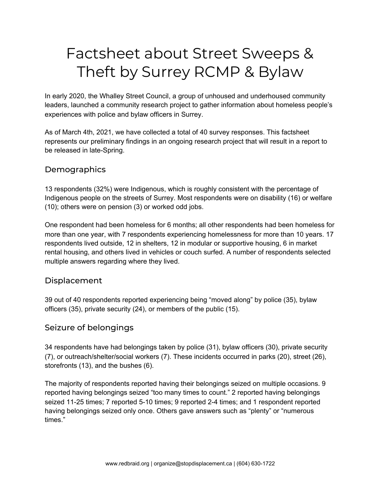# Factsheet about Street Sweeps & Theft by Surrey RCMP & Bylaw

In early 2020, the Whalley Street Council, a group of unhoused and underhoused community leaders, launched a community research project to gather information about homeless people's experiences with police and bylaw officers in Surrey.

As of March 4th, 2021, we have collected a total of 40 survey responses. This factsheet represents our preliminary findings in an ongoing research project that will result in a report to be released in late-Spring.

#### **Demographics**

13 respondents (32%) were Indigenous, which is roughly consistent with the percentage of Indigenous people on the streets of Surrey. Most respondents were on disability (16) or welfare (10); others were on pension (3) or worked odd jobs.

One respondent had been homeless for 6 months; all other respondents had been homeless for more than one year, with 7 respondents experiencing homelessness for more than 10 years. 17 respondents lived outside, 12 in shelters, 12 in modular or supportive housing, 6 in market rental housing, and others lived in vehicles or couch surfed. A number of respondents selected multiple answers regarding where they lived.

#### Displacement

39 out of 40 respondents reported experiencing being "moved along" by police (35), bylaw officers (35), private security (24), or members of the public (15).

# Seizure of belongings

34 respondents have had belongings taken by police (31), bylaw officers (30), private security (7), or outreach/shelter/social workers (7). These incidents occurred in parks (20), street (26), storefronts (13), and the bushes (6).

The majority of respondents reported having their belongings seized on multiple occasions. 9 reported having belongings seized "too many times to count." 2 reported having belongings seized 11-25 times; 7 reported 5-10 times; 9 reported 2-4 times; and 1 respondent reported having belongings seized only once. Others gave answers such as "plenty" or "numerous times."